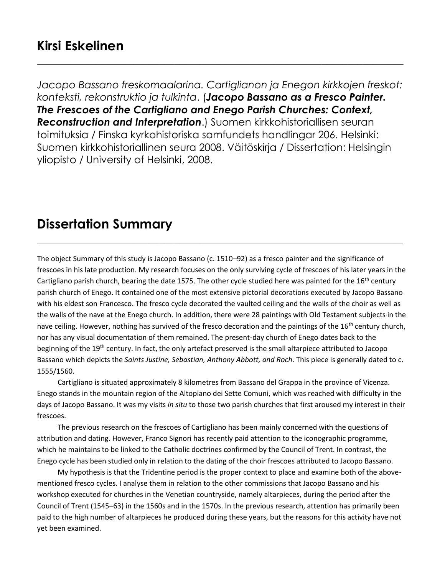*Jacopo Bassano freskomaalarina. Cartiglianon ja Enegon kirkkojen freskot: konteksti, rekonstruktio ja tulkinta*. (*Jacopo Bassano as a Fresco Painter. The Frescoes of the Cartigliano and Enego Parish Churches: Context, Reconstruction and Interpretation*.) Suomen kirkkohistoriallisen seuran toimituksia / Finska kyrkohistoriska samfundets handlingar 206. Helsinki: Suomen kirkkohistoriallinen seura 2008. Väitöskirja / Dissertation: Helsingin yliopisto / University of Helsinki, 2008.

**\_\_\_\_\_\_\_\_\_\_\_\_\_\_\_\_\_\_\_\_\_\_\_\_\_\_\_\_\_\_\_\_\_\_\_\_\_\_\_\_\_\_\_\_\_\_\_\_\_\_\_\_\_\_\_\_\_\_\_\_\_\_\_\_\_\_\_\_\_\_\_\_**

## **Dissertation Summary**

The object Summary of this study is Jacopo Bassano (c. 1510–92) as a fresco painter and the significance of frescoes in his late production. My research focuses on the only surviving cycle of frescoes of his later years in the Cartigliano parish church, bearing the date 1575. The other cycle studied here was painted for the  $16<sup>th</sup>$  century parish church of Enego. It contained one of the most extensive pictorial decorations executed by Jacopo Bassano with his eldest son Francesco. The fresco cycle decorated the vaulted ceiling and the walls of the choir as well as the walls of the nave at the Enego church. In addition, there were 28 paintings with Old Testament subjects in the nave ceiling. However, nothing has survived of the fresco decoration and the paintings of the 16<sup>th</sup> century church, nor has any visual documentation of them remained. The present-day church of Enego dates back to the beginning of the 19<sup>th</sup> century. In fact, the only artefact preserved is the small altarpiece attributed to Jacopo Bassano which depicts the *Saints Justine, Sebastian, Anthony Abbott, and Roch*. This piece is generally dated to c. 1555/1560.

**\_\_\_\_\_\_\_\_\_\_\_\_\_\_\_\_\_\_\_\_\_\_\_\_\_\_\_\_\_\_\_\_\_\_\_\_\_\_\_\_\_\_\_\_\_\_\_\_\_\_\_\_\_\_\_\_\_\_\_\_\_\_\_\_\_\_\_\_\_\_\_\_**

Cartigliano is situated approximately 8 kilometres from Bassano del Grappa in the province of Vicenza. Enego stands in the mountain region of the Altopiano dei Sette Comuni, which was reached with difficulty in the days of Jacopo Bassano. It was my visits *in situ* to those two parish churches that first aroused my interest in their frescoes.

The previous research on the frescoes of Cartigliano has been mainly concerned with the questions of attribution and dating. However, Franco Signori has recently paid attention to the iconographic programme, which he maintains to be linked to the Catholic doctrines confirmed by the Council of Trent. In contrast, the Enego cycle has been studied only in relation to the dating of the choir frescoes attributed to Jacopo Bassano.

My hypothesis is that the Tridentine period is the proper context to place and examine both of the abovementioned fresco cycles. I analyse them in relation to the other commissions that Jacopo Bassano and his workshop executed for churches in the Venetian countryside, namely altarpieces, during the period after the Council of Trent (1545–63) in the 1560s and in the 1570s. In the previous research, attention has primarily been paid to the high number of altarpieces he produced during these years, but the reasons for this activity have not yet been examined.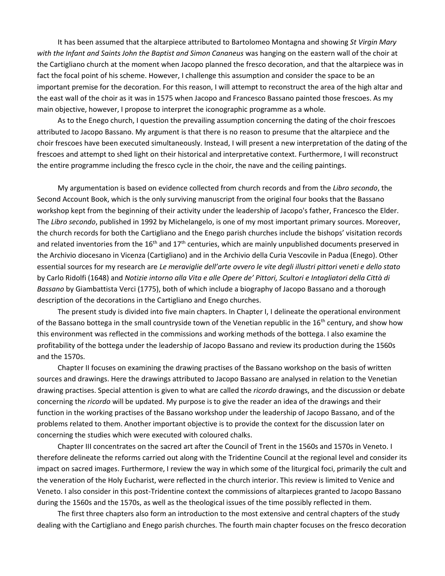It has been assumed that the altarpiece attributed to Bartolomeo Montagna and showing *St Virgin Mary with the Infant and Saints John the Baptist and Simon Cananeus* was hanging on the eastern wall of the choir at the Cartigliano church at the moment when Jacopo planned the fresco decoration, and that the altarpiece was in fact the focal point of his scheme. However, I challenge this assumption and consider the space to be an important premise for the decoration. For this reason, I will attempt to reconstruct the area of the high altar and the east wall of the choir as it was in 1575 when Jacopo and Francesco Bassano painted those frescoes. As my main objective, however, I propose to interpret the iconographic programme as a whole.

As to the Enego church, I question the prevailing assumption concerning the dating of the choir frescoes attributed to Jacopo Bassano. My argument is that there is no reason to presume that the altarpiece and the choir frescoes have been executed simultaneously. Instead, I will present a new interpretation of the dating of the frescoes and attempt to shed light on their historical and interpretative context. Furthermore, I will reconstruct the entire programme including the fresco cycle in the choir, the nave and the ceiling paintings.

My argumentation is based on evidence collected from church records and from the *Libro secondo*, the Second Account Book, which is the only surviving manuscript from the original four books that the Bassano workshop kept from the beginning of their activity under the leadership of Jacopo's father, Francesco the Elder. The *Libro secondo*, published in 1992 by Michelangelo, is one of my most important primary sources. Moreover, the church records for both the Cartigliano and the Enego parish churches include the bishops' visitation records and related inventories from the 16<sup>th</sup> and 17<sup>th</sup> centuries, which are mainly unpublished documents preserved in the Archivio diocesano in Vicenza (Cartigliano) and in the Archivio della Curia Vescovile in Padua (Enego). Other essential sources for my research are *Le meraviglie dell'arte ovvero le vite degli illustri pittori veneti e dello stato* by Carlo Ridolfi (1648) and *Notizie intorno alla Vita e alle Opere de' Pittori, Scultori e Intagliatori della Città di Bassano* by Giambattista Verci (1775), both of which include a biography of Jacopo Bassano and a thorough description of the decorations in the Cartigliano and Enego churches.

The present study is divided into five main chapters. In Chapter I, I delineate the operational environment of the Bassano bottega in the small countryside town of the Venetian republic in the  $16<sup>th</sup>$  century, and show how this environment was reflected in the commissions and working methods of the bottega. I also examine the profitability of the bottega under the leadership of Jacopo Bassano and review its production during the 1560s and the 1570s.

Chapter II focuses on examining the drawing practises of the Bassano workshop on the basis of written sources and drawings. Here the drawings attributed to Jacopo Bassano are analysed in relation to the Venetian drawing practises. Special attention is given to what are called the *ricordo* drawings, and the discussion or debate concerning the *ricordo* will be updated. My purpose is to give the reader an idea of the drawings and their function in the working practises of the Bassano workshop under the leadership of Jacopo Bassano, and of the problems related to them. Another important objective is to provide the context for the discussion later on concerning the studies which were executed with coloured chalks.

Chapter III concentrates on the sacred art after the Council of Trent in the 1560s and 1570s in Veneto. I therefore delineate the reforms carried out along with the Tridentine Council at the regional level and consider its impact on sacred images. Furthermore, I review the way in which some of the liturgical foci, primarily the cult and the veneration of the Holy Eucharist, were reflected in the church interior. This review is limited to Venice and Veneto. I also consider in this post-Tridentine context the commissions of altarpieces granted to Jacopo Bassano during the 1560s and the 1570s, as well as the theological issues of the time possibly reflected in them.

The first three chapters also form an introduction to the most extensive and central chapters of the study dealing with the Cartigliano and Enego parish churches. The fourth main chapter focuses on the fresco decoration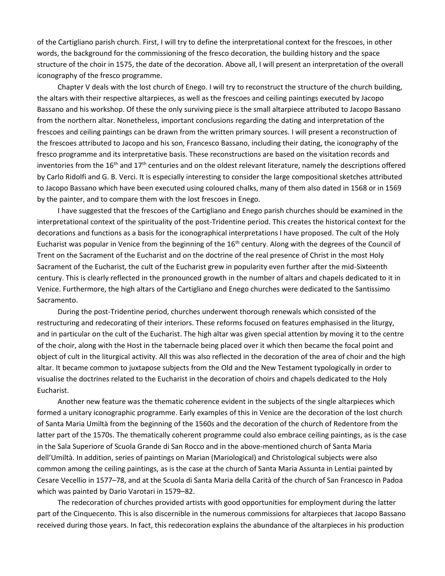of the Cartigliano parish church. First, I will try to define the interpretational context for the frescoes, in other words, the background for the commissioning of the fresco decoration, the building history and the space structure of the choir in 1575, the date of the decoration. Above all, I will present an interpretation of the overall iconography of the fresco programme.

Chapter V deals with the lost church of Enego. I will try to reconstruct the structure of the church building, the altars with their respective altarpieces, as well as the frescoes and ceiling paintings executed by Jacopo Bassano and his workshop. Of these the only surviving piece is the small altarpiece attributed to Jacopo Bassano from the northern altar. Nonetheless, important conclusions regarding the dating and interpretation of the frescoes and ceiling paintings can be drawn from the written primary sources. I will present a reconstruction of the frescoes attributed to Jacopo and his son, Francesco Bassano, including their dating, the iconography of the fresco programme and its interpretative basis. These reconstructions are based on the visitation records and inventories from the 16<sup>th</sup> and 17<sup>th</sup> centuries and on the oldest relevant literature, namely the descriptions offered by Carlo Ridolfi and G. B. Verci. It is especially interesting to consider the large compositional sketches attributed to Jacopo Bassano which have been executed using coloured chalks, many of them also dated in 1568 or in 1569 by the painter, and to compare them with the lost frescoes in Enego.

I have suggested that the frescoes of the Cartigliano and Enego parish churches should be examined in the interpretational context of the spirituality of the post-Tridentine period. This creates the historical context for the decorations and functions as a basis for the iconographical interpretations I have proposed. The cult of the Holy Eucharist was popular in Venice from the beginning of the 16<sup>th</sup> century. Along with the degrees of the Council of Trent on the Sacrament of the Eucharist and on the doctrine of the real presence of Christ in the most Holy Sacrament of the Eucharist, the cult of the Eucharist grew in popularity even further after the mid-Sixteenth century. This is clearly reflected in the pronounced growth in the number of altars and chapels dedicated to it in Venice. Furthermore, the high altars of the Cartigliano and Enego churches were dedicated to the Santissimo Sacramento.

During the post-Tridentine period, churches underwent thorough renewals which consisted of the restructuring and redecorating of their interiors. These reforms focused on features emphasised in the liturgy, and in particular on the cult of the Eucharist. The high altar was given special attention by moving it to the centre of the choir, along with the Host in the tabernacle being placed over it which then became the focal point and object of cult in the liturgical activity. All this was also reflected in the decoration of the area of choir and the high altar. It became common to juxtapose subjects from the Old and the New Testament typologically in order to visualise the doctrines related to the Eucharist in the decoration of choirs and chapels dedicated to the Holy Eucharist.

Another new feature was the thematic coherence evident in the subjects of the single altarpieces which formed a unitary iconographic programme. Early examples of this in Venice are the decoration of the lost church of Santa Maria Umiltà from the beginning of the 1560s and the decoration of the church of Redentore from the latter part of the 1570s. The thematically coherent programme could also embrace ceiling paintings, as is the case in the Sala Superiore of Scuola Grande di San Rocco and in the above-mentioned church of Santa Maria dell'Umiltà. In addition, series of paintings on Marian (Mariological) and Christological subjects were also common among the ceiling paintings, as is the case at the church of Santa Maria Assunta in Lentiai painted by Cesare Vecellio in 1577–78, and at the Scuola di Santa Maria della Carità of the church of San Francesco in Padoa which was painted by Dario Varotari in 1579–82.

The redecoration of churches provided artists with good opportunities for employment during the latter part of the Cinquecento. This is also discernible in the numerous commissions for altarpieces that Jacopo Bassano received during those years. In fact, this redecoration explains the abundance of the altarpieces in his production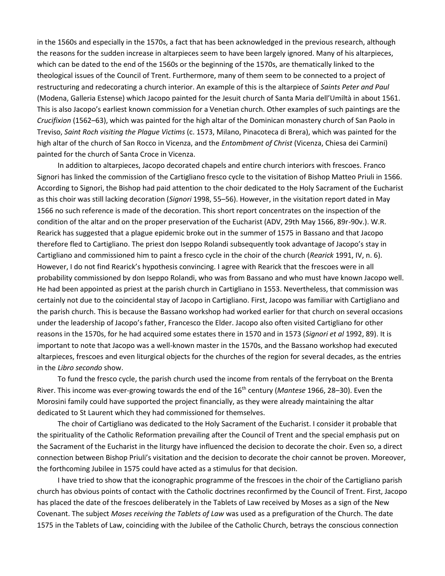in the 1560s and especially in the 1570s, a fact that has been acknowledged in the previous research, although the reasons for the sudden increase in altarpieces seem to have been largely ignored. Many of his altarpieces, which can be dated to the end of the 1560s or the beginning of the 1570s, are thematically linked to the theological issues of the Council of Trent. Furthermore, many of them seem to be connected to a project of restructuring and redecorating a church interior. An example of this is the altarpiece of *Saints Peter and Paul* (Modena, Galleria Estense) which Jacopo painted for the Jesuit church of Santa Maria dell'Umiltà in about 1561. This is also Jacopo's earliest known commission for a Venetian church. Other examples of such paintings are the *Crucifixion* (1562–63), which was painted for the high altar of the Dominican monastery church of San Paolo in Treviso, *Saint Roch visiting the Plague Victims* (c. 1573, Milano, Pinacoteca di Brera), which was painted for the high altar of the church of San Rocco in Vicenza, and the *Entombment of Christ* (Vicenza, Chiesa dei Carmini) painted for the church of Santa Croce in Vicenza.

In addition to altarpieces, Jacopo decorated chapels and entire church interiors with frescoes. Franco Signori has linked the commission of the Cartigliano fresco cycle to the visitation of Bishop Matteo Priuli in 1566. According to Signori, the Bishop had paid attention to the choir dedicated to the Holy Sacrament of the Eucharist as this choir was still lacking decoration (*Signori* 1998, 55–56). However, in the visitation report dated in May 1566 no such reference is made of the decoration. This short report concentrates on the inspection of the condition of the altar and on the proper preservation of the Eucharist (ADV, 29th May 1566, 89r-90v.). W.R. Rearick has suggested that a plague epidemic broke out in the summer of 1575 in Bassano and that Jacopo therefore fled to Cartigliano. The priest don Iseppo Rolandi subsequently took advantage of Jacopo's stay in Cartigliano and commissioned him to paint a fresco cycle in the choir of the church (*Rearick* 1991, IV, n. 6). However, I do not find Rearick's hypothesis convincing. I agree with Rearick that the frescoes were in all probability commissioned by don Iseppo Rolandi, who was from Bassano and who must have known Jacopo well. He had been appointed as priest at the parish church in Cartigliano in 1553. Nevertheless, that commission was certainly not due to the coincidental stay of Jacopo in Cartigliano. First, Jacopo was familiar with Cartigliano and the parish church. This is because the Bassano workshop had worked earlier for that church on several occasions under the leadership of Jacopo's father, Francesco the Elder. Jacopo also often visited Cartigliano for other reasons in the 1570s, for he had acquired some estates there in 1570 and in 1573 (*Signori et al* 1992, 89). It is important to note that Jacopo was a well-known master in the 1570s, and the Bassano workshop had executed altarpieces, frescoes and even liturgical objects for the churches of the region for several decades, as the entries in the *Libro secondo* show.

To fund the fresco cycle, the parish church used the income from rentals of the ferryboat on the Brenta River. This income was ever-growing towards the end of the 16th century (*Mantese* 1966, 28–30). Even the Morosini family could have supported the project financially, as they were already maintaining the altar dedicated to St Laurent which they had commissioned for themselves.

The choir of Cartigliano was dedicated to the Holy Sacrament of the Eucharist. I consider it probable that the spirituality of the Catholic Reformation prevailing after the Council of Trent and the special emphasis put on the Sacrament of the Eucharist in the liturgy have influenced the decision to decorate the choir. Even so, a direct connection between Bishop Priuli's visitation and the decision to decorate the choir cannot be proven. Moreover, the forthcoming Jubilee in 1575 could have acted as a stimulus for that decision.

I have tried to show that the iconographic programme of the frescoes in the choir of the Cartigliano parish church has obvious points of contact with the Catholic doctrines reconfirmed by the Council of Trent. First, Jacopo has placed the date of the frescoes deliberately in the Tablets of Law received by Moses as a sign of the New Covenant. The subject *Moses receiving the Tablets of Law* was used as a prefiguration of the Church. The date 1575 in the Tablets of Law, coinciding with the Jubilee of the Catholic Church, betrays the conscious connection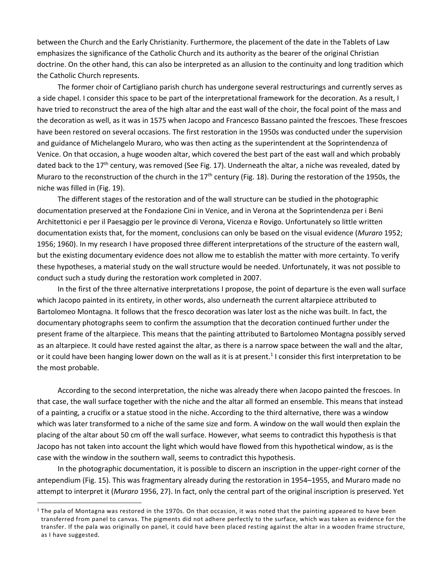between the Church and the Early Christianity. Furthermore, the placement of the date in the Tablets of Law emphasizes the significance of the Catholic Church and its authority as the bearer of the original Christian doctrine. On the other hand, this can also be interpreted as an allusion to the continuity and long tradition which the Catholic Church represents.

The former choir of Cartigliano parish church has undergone several restructurings and currently serves as a side chapel. I consider this space to be part of the interpretational framework for the decoration. As a result, I have tried to reconstruct the area of the high altar and the east wall of the choir, the focal point of the mass and the decoration as well, as it was in 1575 when Jacopo and Francesco Bassano painted the frescoes. These frescoes have been restored on several occasions. The first restoration in the 1950s was conducted under the supervision and guidance of Michelangelo Muraro, who was then acting as the superintendent at the Soprintendenza of Venice. On that occasion, a huge wooden altar, which covered the best part of the east wall and which probably dated back to the 17<sup>th</sup> century, was removed (See Fig. 17). Underneath the altar, a niche was revealed, dated by Muraro to the reconstruction of the church in the  $17<sup>th</sup>$  century (Fig. 18). During the restoration of the 1950s, the niche was filled in (Fig. 19).

The different stages of the restoration and of the wall structure can be studied in the photographic documentation preserved at the Fondazione Cini in Venice, and in Verona at the Soprintendenza per i Beni Architettonici e per il Paesaggio per le province di Verona, Vicenza e Rovigo. Unfortunately so little written documentation exists that, for the moment, conclusions can only be based on the visual evidence (*Muraro* 1952; 1956; 1960). In my research I have proposed three different interpretations of the structure of the eastern wall, but the existing documentary evidence does not allow me to establish the matter with more certainty. To verify these hypotheses, a material study on the wall structure would be needed. Unfortunately, it was not possible to conduct such a study during the restoration work completed in 2007.

In the first of the three alternative interpretations I propose, the point of departure is the even wall surface which Jacopo painted in its entirety, in other words, also underneath the current altarpiece attributed to Bartolomeo Montagna. It follows that the fresco decoration was later lost as the niche was built. In fact, the documentary photographs seem to confirm the assumption that the decoration continued further under the present frame of the altarpiece. This means that the painting attributed to Bartolomeo Montagna possibly served as an altarpiece. It could have rested against the altar, as there is a narrow space between the wall and the altar, or it could have been hanging lower down on the wall as it is at present.<sup>1</sup> I consider this first interpretation to be the most probable.

According to the second interpretation, the niche was already there when Jacopo painted the frescoes. In that case, the wall surface together with the niche and the altar all formed an ensemble. This means that instead of a painting, a crucifix or a statue stood in the niche. According to the third alternative, there was a window which was later transformed to a niche of the same size and form. A window on the wall would then explain the placing of the altar about 50 cm off the wall surface. However, what seems to contradict this hypothesis is that Jacopo has not taken into account the light which would have flowed from this hypothetical window, as is the case with the window in the southern wall, seems to contradict this hypothesis.

In the photographic documentation, it is possible to discern an inscription in the upper-right corner of the antependium (Fig. 15). This was fragmentary already during the restoration in 1954–1955, and Muraro made no attempt to interpret it (*Muraro* 1956, 27). In fact, only the central part of the original inscription is preserved. Yet

 $\overline{a}$ 

 $1$  The pala of Montagna was restored in the 1970s. On that occasion, it was noted that the painting appeared to have been transferred from panel to canvas. The pigments did not adhere perfectly to the surface, which was taken as evidence for the transfer. If the pala was originally on panel, it could have been placed resting against the altar in a wooden frame structure, as I have suggested.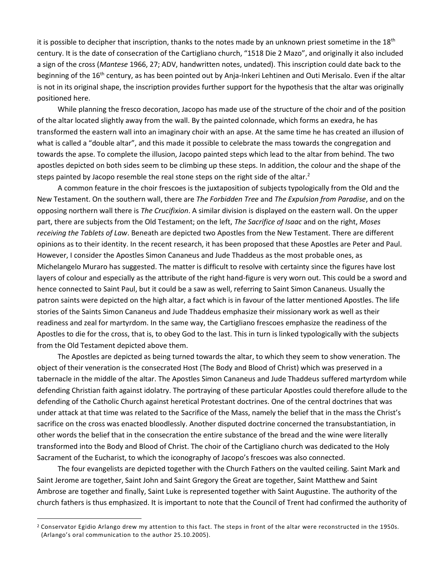it is possible to decipher that inscription, thanks to the notes made by an unknown priest sometime in the  $18<sup>th</sup>$ century. It is the date of consecration of the Cartigliano church, "1518 Die 2 Mazo", and originally it also included a sign of the cross (*Mantese* 1966, 27; ADV, handwritten notes, undated). This inscription could date back to the beginning of the 16<sup>th</sup> century, as has been pointed out by Anja-Inkeri Lehtinen and Outi Merisalo. Even if the altar is not in its original shape, the inscription provides further support for the hypothesis that the altar was originally positioned here.

While planning the fresco decoration, Jacopo has made use of the structure of the choir and of the position of the altar located slightly away from the wall. By the painted colonnade, which forms an exedra, he has transformed the eastern wall into an imaginary choir with an apse. At the same time he has created an illusion of what is called a "double altar", and this made it possible to celebrate the mass towards the congregation and towards the apse. To complete the illusion, Jacopo painted steps which lead to the altar from behind. The two apostles depicted on both sides seem to be climbing up these steps. In addition, the colour and the shape of the steps painted by Jacopo resemble the real stone steps on the right side of the altar.<sup>2</sup>

A common feature in the choir frescoes is the juxtaposition of subjects typologically from the Old and the New Testament. On the southern wall, there are *The Forbidden Tree* and *The Expulsion from Paradise*, and on the opposing northern wall there is *The Crucifixion*. A similar division is displayed on the eastern wall. On the upper part, there are subjects from the Old Testament; on the left, *The Sacrifice of Isaac* and on the right, *Moses receiving the Tablets of Law*. Beneath are depicted two Apostles from the New Testament. There are different opinions as to their identity. In the recent research, it has been proposed that these Apostles are Peter and Paul. However, I consider the Apostles Simon Cananeus and Jude Thaddeus as the most probable ones, as Michelangelo Muraro has suggested. The matter is difficult to resolve with certainty since the figures have lost layers of colour and especially as the attribute of the right hand-figure is very worn out. This could be a sword and hence connected to Saint Paul, but it could be a saw as well, referring to Saint Simon Cananeus. Usually the patron saints were depicted on the high altar, a fact which is in favour of the latter mentioned Apostles. The life stories of the Saints Simon Cananeus and Jude Thaddeus emphasize their missionary work as well as their readiness and zeal for martyrdom. In the same way, the Cartigliano frescoes emphasize the readiness of the Apostles to die for the cross, that is, to obey God to the last. This in turn is linked typologically with the subjects from the Old Testament depicted above them.

The Apostles are depicted as being turned towards the altar, to which they seem to show veneration. The object of their veneration is the consecrated Host (The Body and Blood of Christ) which was preserved in a tabernacle in the middle of the altar. The Apostles Simon Cananeus and Jude Thaddeus suffered martyrdom while defending Christian faith against idolatry. The portraying of these particular Apostles could therefore allude to the defending of the Catholic Church against heretical Protestant doctrines. One of the central doctrines that was under attack at that time was related to the Sacrifice of the Mass, namely the belief that in the mass the Christ's sacrifice on the cross was enacted bloodlessly. Another disputed doctrine concerned the transubstantiation, in other words the belief that in the consecration the entire substance of the bread and the wine were literally transformed into the Body and Blood of Christ. The choir of the Cartigliano church was dedicated to the Holy Sacrament of the Eucharist, to which the iconography of Jacopo's frescoes was also connected.

The four evangelists are depicted together with the Church Fathers on the vaulted ceiling. Saint Mark and Saint Jerome are together, Saint John and Saint Gregory the Great are together, Saint Matthew and Saint Ambrose are together and finally, Saint Luke is represented together with Saint Augustine. The authority of the church fathers is thus emphasized. It is important to note that the Council of Trent had confirmed the authority of

 $\overline{a}$ 

<sup>&</sup>lt;sup>2</sup> Conservator Egidio Arlango drew my attention to this fact. The steps in front of the altar were reconstructed in the 1950s. (Arlango's oral communication to the author 25.10.2005).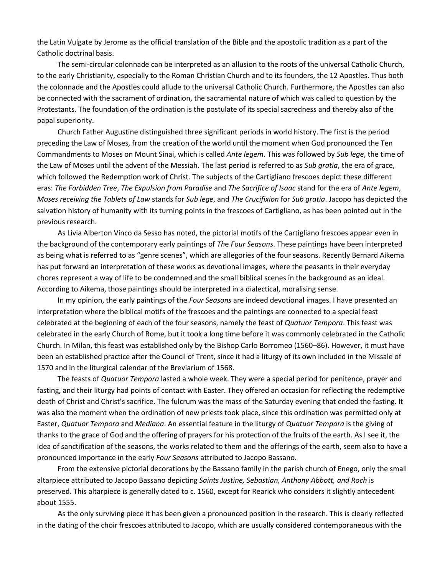the Latin Vulgate by Jerome as the official translation of the Bible and the apostolic tradition as a part of the Catholic doctrinal basis.

The semi-circular colonnade can be interpreted as an allusion to the roots of the universal Catholic Church, to the early Christianity, especially to the Roman Christian Church and to its founders, the 12 Apostles. Thus both the colonnade and the Apostles could allude to the universal Catholic Church. Furthermore, the Apostles can also be connected with the sacrament of ordination, the sacramental nature of which was called to question by the Protestants. The foundation of the ordination is the postulate of its special sacredness and thereby also of the papal superiority.

Church Father Augustine distinguished three significant periods in world history. The first is the period preceding the Law of Moses, from the creation of the world until the moment when God pronounced the Ten Commandments to Moses on Mount Sinai, which is called *Ante legem*. This was followed by *Sub lege*, the time of the Law of Moses until the advent of the Messiah. The last period is referred to as *Sub gratia*, the era of grace, which followed the Redemption work of Christ. The subjects of the Cartigliano frescoes depict these different eras: *The Forbidden Tree*, *The Expulsion from Paradise* and *The Sacrifice of Isaac* stand for the era of *Ante legem*, *Moses receiving the Tablets of Law* stands for *Sub lege*, and *The Crucifixion* for *Sub gratia*. Jacopo has depicted the salvation history of humanity with its turning points in the frescoes of Cartigliano, as has been pointed out in the previous research.

As Livia Alberton Vinco da Sesso has noted, the pictorial motifs of the Cartigliano frescoes appear even in the background of the contemporary early paintings of *Th*e *Four Seasons*. These paintings have been interpreted as being what is referred to as "genre scenes", which are allegories of the four seasons. Recently Bernard Aikema has put forward an interpretation of these works as devotional images, where the peasants in their everyday chores represent a way of life to be condemned and the small biblical scenes in the background as an ideal. According to Aikema, those paintings should be interpreted in a dialectical, moralising sense.

In my opinion, the early paintings of the *Four Seasons* are indeed devotional images. I have presented an interpretation where the biblical motifs of the frescoes and the paintings are connected to a special feast celebrated at the beginning of each of the four seasons, namely the feast of *Quatuor Tempora*. This feast was celebrated in the early Church of Rome, but it took a long time before it was commonly celebrated in the Catholic Church. In Milan, this feast was established only by the Bishop Carlo Borromeo (1560–86). However, it must have been an established practice after the Council of Trent, since it had a liturgy of its own included in the Missale of 1570 and in the liturgical calendar of the Breviarium of 1568.

The feasts of *Quatuor Tempora* lasted a whole week. They were a special period for penitence, prayer and fasting, and their liturgy had points of contact with Easter. They offered an occasion for reflecting the redemptive death of Christ and Christ's sacrifice. The fulcrum was the mass of the Saturday evening that ended the fasting. It was also the moment when the ordination of new priests took place, since this ordination was permitted only at Easter, *Quatuor Tempora* and *Mediana*. An essential feature in the liturgy of Q*uatuor Tempora* is the giving of thanks to the grace of God and the offering of prayers for his protection of the fruits of the earth. As I see it, the idea of sanctification of the seasons, the works related to them and the offerings of the earth, seem also to have a pronounced importance in the early *Four Seasons* attributed to Jacopo Bassano.

From the extensive pictorial decorations by the Bassano family in the parish church of Enego, only the small altarpiece attributed to Jacopo Bassano depicting *Saints Justine, Sebastian, Anthony Abbott, and Roch* is preserved. This altarpiece is generally dated to c. 1560, except for Rearick who considers it slightly antecedent about 1555.

As the only surviving piece it has been given a pronounced position in the research. This is clearly reflected in the dating of the choir frescoes attributed to Jacopo, which are usually considered contemporaneous with the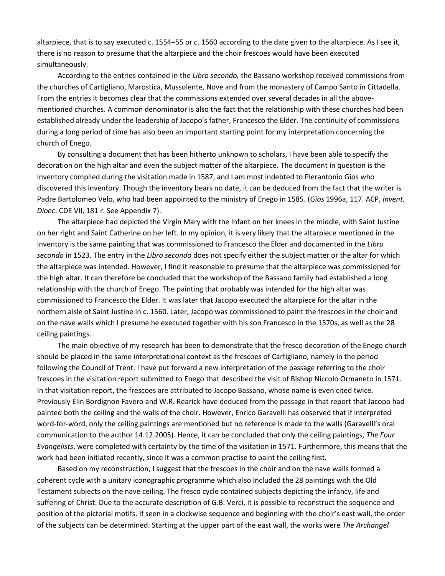altarpiece, that is to say executed c. 1554–55 or c. 1560 according to the date given to the altarpiece. As I see it, there is no reason to presume that the altarpiece and the choir frescoes would have been executed simultaneously.

According to the entries contained in the *Libro secondo,* the Bassano workshop received commissions from the churches of Cartigliano, Marostica, Mussolente, Nove and from the monastery of Campo Santo in Cittadella. From the entries it becomes clear that the commissions extended over several decades in all the abovementioned churches. A common denominator is also the fact that the relationship with these churches had been established already under the leadership of Jacopo's father, Francesco the Elder. The continuity of commissions during a long period of time has also been an important starting point for my interpretation concerning the church of Enego.

By consulting a document that has been hitherto unknown to scholars, I have been able to specify the decoration on the high altar and even the subject matter of the altarpiece. The document in question is the inventory compiled during the visitation made in 1587, and I am most indebted to Pierantonio Gios who discovered this inventory. Though the inventory bears no date, it can be deduced from the fact that the writer is Padre Bartolomeo Velo, who had been appointed to the ministry of Enego in 1585. (*Gios* 1996a, 117. ACP, *Invent. Dioec*. CDE VII, 181 r. See Appendix 7).

The altarpiece had depicted the Virgin Mary with the Infant on her knees in the middle, with Saint Justine on her right and Saint Catherine on her left. In my opinion, it is very likely that the altarpiece mentioned in the inventory is the same painting that was commissioned to Francesco the Elder and documented in the *Libro secondo* in 1523. The entry in the *Libro secondo* does not specify either the subject matter or the altar for which the altarpiece was intended. However, I find it reasonable to presume that the altarpiece was commissioned for the high altar. It can therefore be concluded that the workshop of the Bassano family had established a long relationship with the church of Enego. The painting that probably was intended for the high altar was commissioned to Francesco the Elder. It was later that Jacopo executed the altarpiece for the altar in the northern aisle of Saint Justine in c. 1560. Later, Jacopo was commissioned to paint the frescoes in the choir and on the nave walls which I presume he executed together with his son Francesco in the 1570s, as well as the 28 ceiling paintings.

The main objective of my research has been to demonstrate that the fresco decoration of the Enego church should be placed in the same interpretational context as the frescoes of Cartigliano, namely in the period following the Council of Trent. I have put forward a new interpretation of the passage referring to the choir frescoes in the visitation report submitted to Enego that described the visit of Bishop Niccolò Ormaneto in 1571. In that visitation report, the frescoes are attributed to Jacopo Bassano, whose name is even cited twice. Previously Elin Bordignon Favero and W.R. Rearick have deduced from the passage in that report that Jacopo had painted both the ceiling and the walls of the choir. However, Enrico Garavelli has observed that if interpreted word-for-word, only the ceiling paintings are mentioned but no reference is made to the walls (Garavelli's oral communication to the author 14.12.2005). Hence, it can be concluded that only the ceiling paintings, *The Four Evangelists*, were completed with certainty by the time of the visitation in 1571. Furthermore, this means that the work had been initiated recently, since it was a common practise to paint the ceiling first.

Based on my reconstruction, I suggest that the frescoes in the choir and on the nave walls formed a coherent cycle with a unitary iconographic programme which also included the 28 paintings with the Old Testament subjects on the nave ceiling. The fresco cycle contained subjects depicting the infancy, life and suffering of Christ. Due to the accurate description of G.B. Verci, it is possible to reconstruct the sequence and position of the pictorial motifs. If seen in a clockwise sequence and beginning with the choir's east wall, the order of the subjects can be determined. Starting at the upper part of the east wall, the works were *The Archangel*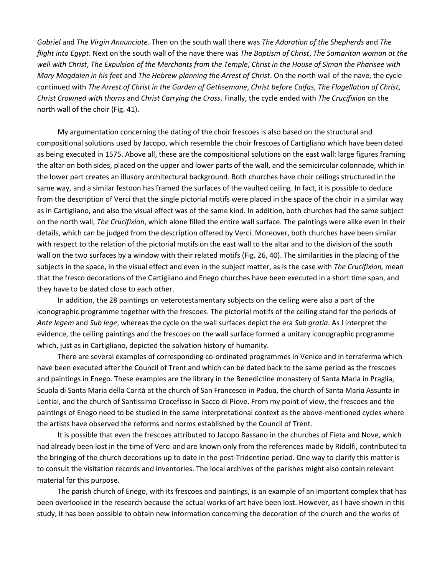*Gabriel* and *The Virgin Annunciate*. Then on the south wall there was *The Adoration of the Shepherds* and *The flight into Egypt*. Next on the south wall of the nave there was *The Baptism of Christ*, *The Samaritan woman at the well with Christ*, *The Expulsion of the Merchants from the Temple*, *Christ in the House of Simon the Pharisee with Mary Magdalen in his feet* and *The Hebrew planning the Arrest of Christ*. On the north wall of the nave, the cycle continued with *The Arrest of Christ in the Garden of Gethsemane*, *Christ before Caifas*, *The Flagellation of Christ*, *Christ Crowned with thorns* and *Christ Carrying the Cross*. Finally, the cycle ended with *The Crucifixion* on the north wall of the choir (Fig. 41).

My argumentation concerning the dating of the choir frescoes is also based on the structural and compositional solutions used by Jacopo, which resemble the choir frescoes of Cartigliano which have been dated as being executed in 1575. Above all, these are the compositional solutions on the east wall: large figures framing the altar on both sides, placed on the upper and lower parts of the wall, and the semicircular colonnade, which in the lower part creates an illusory architectural background. Both churches have choir ceilings structured in the same way, and a similar festoon has framed the surfaces of the vaulted ceiling. In fact, it is possible to deduce from the description of Verci that the single pictorial motifs were placed in the space of the choir in a similar way as in Cartigliano, and also the visual effect was of the same kind. In addition, both churches had the same subject on the north wall, *The Crucifixion*, which alone filled the entire wall surface. The paintings were alike even in their details, which can be judged from the description offered by Verci. Moreover, both churches have been similar with respect to the relation of the pictorial motifs on the east wall to the altar and to the division of the south wall on the two surfaces by a window with their related motifs (Fig. 26, 40). The similarities in the placing of the subjects in the space, in the visual effect and even in the subject matter, as is the case with *The Crucifixion,* mean that the fresco decorations of the Cartigliano and Enego churches have been executed in a short time span, and they have to be dated close to each other.

In addition, the 28 paintings on veterotestamentary subjects on the ceiling were also a part of the iconographic programme together with the frescoes. The pictorial motifs of the ceiling stand for the periods of *Ante legem* and *Sub lege*, whereas the cycle on the wall surfaces depict the era *Sub gratia*. As I interpret the evidence, the ceiling paintings and the frescoes on the wall surface formed a unitary iconographic programme which, just as in Cartigliano, depicted the salvation history of humanity.

There are several examples of corresponding co-ordinated programmes in Venice and in terraferma which have been executed after the Council of Trent and which can be dated back to the same period as the frescoes and paintings in Enego. These examples are the library in the Benedictine monastery of Santa Maria in Praglia, Scuola di Santa Maria della Carità at the church of San Francesco in Padua, the church of Santa Maria Assunta in Lentiai, and the church of Santissimo Crocefisso in Sacco di Piove. From my point of view, the frescoes and the paintings of Enego need to be studied in the same interpretational context as the above-mentioned cycles where the artists have observed the reforms and norms established by the Council of Trent.

It is possible that even the frescoes attributed to Jacopo Bassano in the churches of Fieta and Nove, which had already been lost in the time of Verci and are known only from the references made by Ridolfi, contributed to the bringing of the church decorations up to date in the post-Tridentine period. One way to clarify this matter is to consult the visitation records and inventories. The local archives of the parishes might also contain relevant material for this purpose.

The parish church of Enego, with its frescoes and paintings, is an example of an important complex that has been overlooked in the research because the actual works of art have been lost. However, as I have shown in this study, it has been possible to obtain new information concerning the decoration of the church and the works of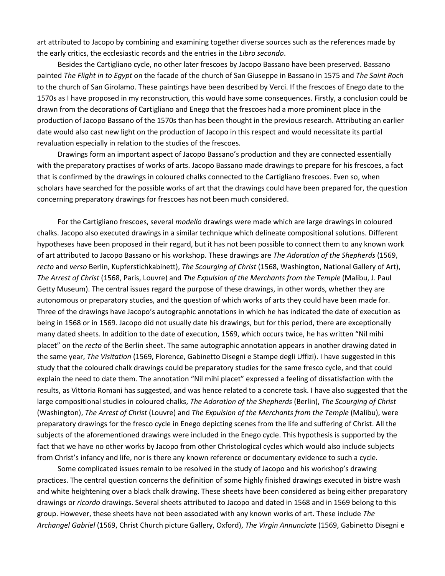art attributed to Jacopo by combining and examining together diverse sources such as the references made by the early critics, the ecclesiastic records and the entries in the *Libro secondo*.

Besides the Cartigliano cycle, no other later frescoes by Jacopo Bassano have been preserved. Bassano painted *The Flight in to Egypt* on the facade of the church of San Giuseppe in Bassano in 1575 and *The Saint Roch* to the church of San Girolamo. These paintings have been described by Verci. If the frescoes of Enego date to the 1570s as I have proposed in my reconstruction, this would have some consequences. Firstly, a conclusion could be drawn from the decorations of Cartigliano and Enego that the frescoes had a more prominent place in the production of Jacopo Bassano of the 1570s than has been thought in the previous research. Attributing an earlier date would also cast new light on the production of Jacopo in this respect and would necessitate its partial revaluation especially in relation to the studies of the frescoes.

Drawings form an important aspect of Jacopo Bassano's production and they are connected essentially with the preparatory practises of works of arts. Jacopo Bassano made drawings to prepare for his frescoes, a fact that is confirmed by the drawings in coloured chalks connected to the Cartigliano frescoes. Even so, when scholars have searched for the possible works of art that the drawings could have been prepared for, the question concerning preparatory drawings for frescoes has not been much considered.

For the Cartigliano frescoes, several *modello* drawings were made which are large drawings in coloured chalks. Jacopo also executed drawings in a similar technique which delineate compositional solutions. Different hypotheses have been proposed in their regard, but it has not been possible to connect them to any known work of art attributed to Jacopo Bassano or his workshop. These drawings are *The Adoration of the Shepherds* (1569, *recto* and *verso* Berlin, Kupferstichkabinett), *The Scourging of Christ* (1568, Washington, National Gallery of Art), *The Arrest of Christ* (1568, Paris, Louvre) and *The Expulsion of the Merchants from the Temple* (Malibu, J. Paul Getty Museum). The central issues regard the purpose of these drawings, in other words, whether they are autonomous or preparatory studies, and the question of which works of arts they could have been made for. Three of the drawings have Jacopo's autographic annotations in which he has indicated the date of execution as being in 1568 or in 1569. Jacopo did not usually date his drawings, but for this period, there are exceptionally many dated sheets. In addition to the date of execution, 1569, which occurs twice, he has written "Nil mihi placet" on the *recto* of the Berlin sheet. The same autographic annotation appears in another drawing dated in the same year, *The Visitation* (1569, Florence, Gabinetto Disegni e Stampe degli Uffizi). I have suggested in this study that the coloured chalk drawings could be preparatory studies for the same fresco cycle, and that could explain the need to date them. The annotation "Nil mihi placet" expressed a feeling of dissatisfaction with the results, as Vittoria Romani has suggested, and was hence related to a concrete task. I have also suggested that the large compositional studies in coloured chalks, *The Adoration of the Shepherds* (Berlin), *The Scourging of Christ*  (Washington), *The Arrest of Christ* (Louvre) and *The Expulsion of the Merchants from the Temple* (Malibu), were preparatory drawings for the fresco cycle in Enego depicting scenes from the life and suffering of Christ. All the subjects of the aforementioned drawings were included in the Enego cycle. This hypothesis is supported by the fact that we have no other works by Jacopo from other Christological cycles which would also include subjects from Christ's infancy and life, nor is there any known reference or documentary evidence to such a cycle.

Some complicated issues remain to be resolved in the study of Jacopo and his workshop's drawing practices. The central question concerns the definition of some highly finished drawings executed in bistre wash and white heightening over a black chalk drawing. These sheets have been considered as being either preparatory drawings or *ricordo* drawings. Several sheets attributed to Jacopo and dated in 1568 and in 1569 belong to this group. However, these sheets have not been associated with any known works of art. These include *The Archangel Gabriel* (1569, Christ Church picture Gallery, Oxford), *The Virgin Annunciate* (1569, Gabinetto Disegni e